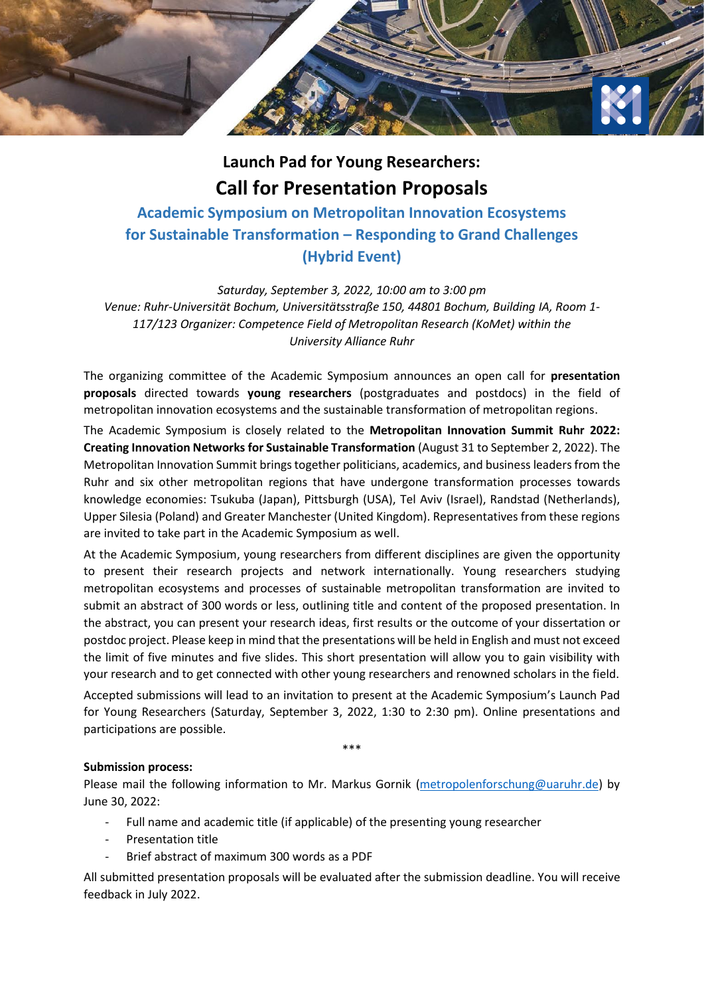

## **Launch Pad for Young Researchers: Call for Presentation Proposals**

**Academic Symposium on Metropolitan Innovation Ecosystems for Sustainable Transformation – Responding to Grand Challenges (Hybrid Event)**

*Saturday, September 3, 2022, 10:00 am to 3:00 pm Venue: Ruhr-Universität Bochum, Universitätsstraße 150, 44801 Bochum, Building IA, Room 1- 117/123 Organizer: Competence Field of Metropolitan Research (KoMet) within the University Alliance Ruhr*

The organizing committee of the Academic Symposium announces an open call for **presentation proposals** directed towards **young researchers** (postgraduates and postdocs) in the field of metropolitan innovation ecosystems and the sustainable transformation of metropolitan regions.

The Academic Symposium is closely related to the **Metropolitan Innovation Summit Ruhr 2022: Creating Innovation Networks for Sustainable Transformation** (August 31 to September 2, 2022). The Metropolitan Innovation Summit brings together politicians, academics, and business leaders from the Ruhr and six other metropolitan regions that have undergone transformation processes towards knowledge economies: Tsukuba (Japan), Pittsburgh (USA), Tel Aviv (Israel), Randstad (Netherlands), Upper Silesia (Poland) and Greater Manchester (United Kingdom). Representatives from these regions are invited to take part in the Academic Symposium as well.

At the Academic Symposium, young researchers from different disciplines are given the opportunity to present their research projects and network internationally. Young researchers studying metropolitan ecosystems and processes of sustainable metropolitan transformation are invited to submit an abstract of 300 words or less, outlining title and content of the proposed presentation. In the abstract, you can present your research ideas, first results or the outcome of your dissertation or postdoc project. Please keep in mind that the presentations will be held in English and must not exceed the limit of five minutes and five slides. This short presentation will allow you to gain visibility with your research and to get connected with other young researchers and renowned scholars in the field.

Accepted submissions will lead to an invitation to present at the Academic Symposium's Launch Pad for Young Researchers (Saturday, September 3, 2022, 1:30 to 2:30 pm). Online presentations and participations are possible.

\*\*\*

## **Submission process:**

Please mail the following information to Mr. Markus Gornik [\(metropolenforschung@uaruhr.de\)](mailto:metropolenforschung@uaruhr.de) by June 30, 2022:

- Full name and academic title (if applicable) of the presenting young researcher
- Presentation title
- Brief abstract of maximum 300 words as a PDF

All submitted presentation proposals will be evaluated after the submission deadline. You will receive feedback in July 2022.